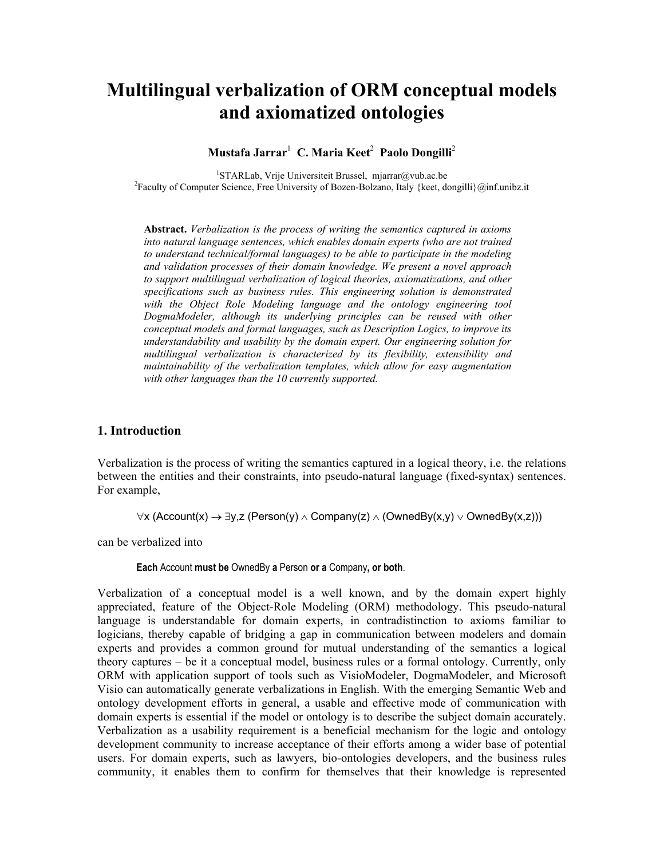# **Multilingual verbalization of ORM conceptual models and axiomatized ontologies**

# $\mathbf{M}$ ustafa Jarrar $^1\,$  C. Maria Keet $^2\,$  Paolo Dongilli $^2\,$

<sup>1</sup>STARLab, Vrije Universiteit Brussel, mjarrar@vub.ac.be <sup>1</sup>STARLab, Vrije Universiteit Brussel, mjarrar@vub.ac.be<br><sup>2</sup>Faculty of Computer Science, Free University of Bozen-Bolzano, Italy {keet, dongilli}@inf.unibz.it

**Abstract.** *Verbalization is the process of writing the semantics captured in axioms into natural language sentences, which enables domain experts (who are not trained to understand technical/formal languages) to be able to participate in the modeling and validation processes of their domain knowledge. We present a novel approach to support multilingual verbalization of logical theories, axiomatizations, and other specifications such as business rules. This engineering solution is demonstrated with the Object Role Modeling language and the ontology engineering tool DogmaModeler, although its underlying principles can be reused with other conceptual models and formal languages, such as Description Logics, to improve its understandability and usability by the domain expert. Our engineering solution for multilingual verbalization is characterized by its flexibility, extensibility and maintainability of the verbalization templates, which allow for easy augmentation with other languages than the 10 currently supported.* 

# **1. Introduction**

Verbalization is the process of writing the semantics captured in a logical theory, i.e. the relations between the entities and their constraints, into pseudo-natural language (fixed-syntax) sentences. For example,

∀x (Account(x) → ∃y,z (Person(y) ∧ Company(z) ∧ (OwnedBy(x,y) ∨ OwnedBy(x,z)))

can be verbalized into

**Each** Account **must be** OwnedBy **a** Person **or a** Company**, or both**.

Verbalization of a conceptual model is a well known, and by the domain expert highly appreciated, feature of the Object-Role Modeling (ORM) methodology. This pseudo-natural language is understandable for domain experts, in contradistinction to axioms familiar to logicians, thereby capable of bridging a gap in communication between modelers and domain experts and provides a common ground for mutual understanding of the semantics a logical theory captures – be it a conceptual model, business rules or a formal ontology. Currently, only ORM with application support of tools such as VisioModeler, DogmaModeler, and Microsoft Visio can automatically generate verbalizations in English. With the emerging Semantic Web and ontology development efforts in general, a usable and effective mode of communication with domain experts is essential if the model or ontology is to describe the subject domain accurately. Verbalization as a usability requirement is a beneficial mechanism for the logic and ontology development community to increase acceptance of their efforts among a wider base of potential users. For domain experts, such as lawyers, bio-ontologies developers, and the business rules community, it enables them to confirm for themselves that their knowledge is represented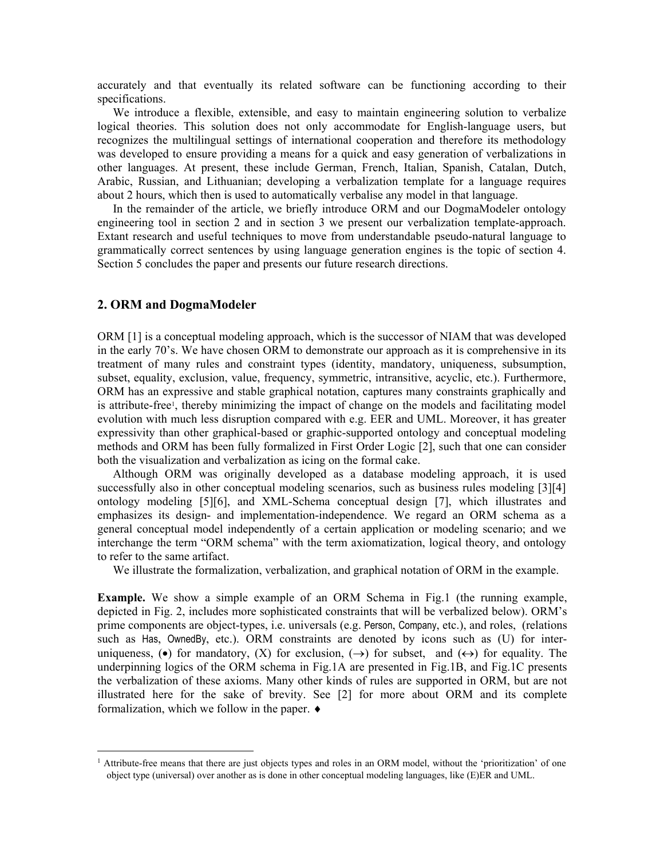accurately and that eventually its related software can be functioning according to their specifications.

We introduce a flexible, extensible, and easy to maintain engineering solution to verbalize logical theories. This solution does not only accommodate for English-language users, but recognizes the multilingual settings of international cooperation and therefore its methodology was developed to ensure providing a means for a quick and easy generation of verbalizations in other languages. At present, these include German, French, Italian, Spanish, Catalan, Dutch, Arabic, Russian, and Lithuanian; developing a verbalization template for a language requires about 2 hours, which then is used to automatically verbalise any model in that language.

In the remainder of the article, we briefly introduce ORM and our DogmaModeler ontology engineering tool in section 2 and in section 3 we present our verbalization template-approach. Extant research and useful techniques to move from understandable pseudo-natural language to grammatically correct sentences by using language generation engines is the topic of section 4. Section 5 concludes the paper and presents our future research directions.

## **2. ORM and DogmaModeler**

 $\overline{a}$ 

ORM [1] is a conceptual modeling approach, which is the successor of NIAM that was developed in the early 70's. We have chosen ORM to demonstrate our approach as it is comprehensive in its treatment of many rules and constraint types (identity, mandatory, uniqueness, subsumption, subset, equality, exclusion, value, frequency, symmetric, intransitive, acyclic, etc.). Furthermore, ORM has an expressive and stable graphical notation, captures many constraints graphically and is attribute-free<sup>1</sup>, thereby minimizing the impact of change on the models and facilitating model evolution with much less disruption compared with e.g. EER and UML. Moreover, it has greater expressivity than other graphical-based or graphic-supported ontology and conceptual modeling methods and ORM has been fully formalized in First Order Logic [2], such that one can consider both the visualization and verbalization as icing on the formal cake.

Although ORM was originally developed as a database modeling approach, it is used successfully also in other conceptual modeling scenarios, such as business rules modeling [3][4] ontology modeling [5][6], and XML-Schema conceptual design [7], which illustrates and emphasizes its design- and implementation-independence. We regard an ORM schema as a general conceptual model independently of a certain application or modeling scenario; and we interchange the term "ORM schema" with the term axiomatization, logical theory, and ontology to refer to the same artifact.

We illustrate the formalization, verbalization, and graphical notation of ORM in the example.

**Example.** We show a simple example of an ORM Schema in Fig.1 (the running example, depicted in Fig. 2, includes more sophisticated constraints that will be verbalized below). ORM's prime components are object-types, i.e. universals (e.g. Person, Company, etc.), and roles, (relations such as Has, OwnedBy, etc.). ORM constraints are denoted by icons such as (U) for interuniqueness,  $\left( \bullet \right)$  for mandatory,  $(X)$  for exclusion,  $(\rightarrow)$  for subset, and  $(\leftrightarrow)$  for equality. The underpinning logics of the ORM schema in Fig.1A are presented in Fig.1B, and Fig.1C presents the verbalization of these axioms. Many other kinds of rules are supported in ORM, but are not illustrated here for the sake of brevity. See [2] for more about ORM and its complete formalization, which we follow in the paper. ♦

<span id="page-1-0"></span><sup>&</sup>lt;sup>1</sup> Attribute-free means that there are just objects types and roles in an ORM model, without the 'prioritization' of one object type (universal) over another as is done in other conceptual modeling languages, like (E)ER and UML.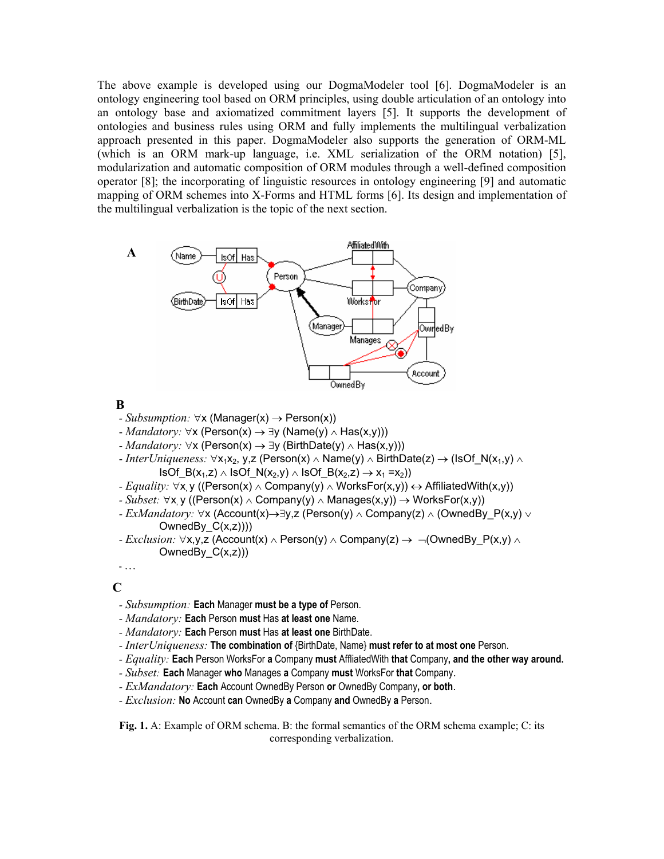The above example is developed using our DogmaModeler tool [6]. DogmaModeler is an ontology engineering tool based on ORM principles, using double articulation of an ontology into an ontology base and axiomatized commitment layers [5]. It supports the development of ontologies and business rules using ORM and fully implements the multilingual verbalization approach presented in this paper. DogmaModeler also supports the generation of ORM-ML (which is an ORM mark-up language, i.e. XML serialization of the ORM notation) [5], modularization and automatic composition of ORM modules through a well-defined composition operator [8]; the incorporating of linguistic resources in ontology engineering [9] and automatic mapping of ORM schemes into X-Forms and HTML forms [6]. Its design and implementation of the multilingual verbalization is the topic of the next section.



#### **B**

- *Subsumption:* ∀x (Manager(x) → Person(x))
- *Mandatory:* ∀x (Person(x) → ∃y (Name(y) ∧ Has(x,y)))
- *Mandatory:* ∀x (Person(x) → ∃y (BirthDate(y) ∧ Has(x,y)))
- *InterUniqueness:* ∀x1x2, y,z (Person(x) ∧ Name(y) ∧ BirthDate(z) → (IsOf\_N(x1,y) ∧ IsOf B(x<sub>1</sub>,z) ∧ IsOf N(x<sub>2</sub>,y) ∧ IsOf\_B(x<sub>2</sub>,z) → x<sub>1</sub> =x<sub>2</sub>))
- *Equality:* ∀x y ((Person(x) ∧ Company(y) ∧ WorksFor(x,y))  $\leftrightarrow$  AffiliatedWith(x,y))
- *Subset:* ∀x, y ((Person(x) ∧ Company(y) ∧ Manages(x,y)) → WorksFor(x,y))
- *ExMandatory:* ∀x (Account(x)→∃y,z (Person(y) ∧ Company(z) ∧ (OwnedBy\_P(x,y) ∨ OwnedBy  $C(x,z))$ )
- *Exclusion:* ∀x,y,z (Account(x) ∧ Person(y) ∧ Company(z) → ¬(OwnedBy\_P(x,y) ∧ OwnedBy\_C(x,z)))

**C** 

- *Subsumption:* **Each** Manager **must be a type of** Person.
- *Mandatory:* **Each** Person **must** Has **at least one** Name.
- *Mandatory:* **Each** Person **must** Has **at least one** BirthDate.
- *InterUniqueness:* **The combination of** {BirthDate, Name} **must refer to at most one** Person.
- *Equality:* **Each** Person WorksFor **a** Company **must** AffliatedWith **that** Company**, and the other way around.**
- *Subset:* **Each** Manager **who** Manages **a** Company **must** WorksFor **that** Company.
- *ExMandatory:* **Each** Account OwnedBy Person **or** OwnedBy Company**, or both**.
- *Exclusion:* **No** Account **can** OwnedBy **a** Company **and** OwnedBy **a** Person.

**Fig. 1.** A: Example of ORM schema. B: the formal semantics of the ORM schema example; C: its corresponding verbalization.

<sup>-</sup> …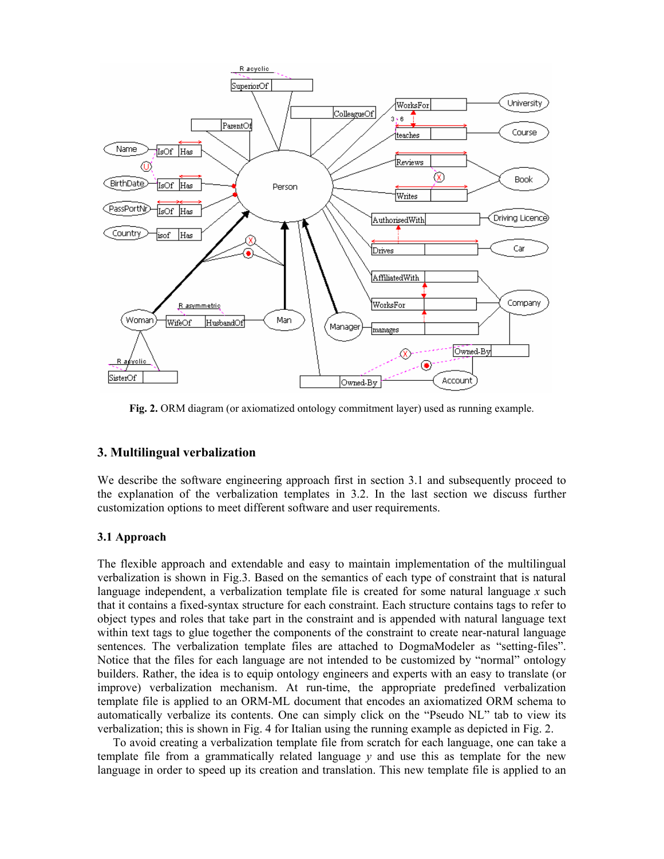

**Fig. 2.** ORM diagram (or axiomatized ontology commitment layer) used as running example.

# **3. Multilingual verbalization**

We describe the software engineering approach first in section 3.1 and subsequently proceed to the explanation of the verbalization templates in 3.2. In the last section we discuss further customization options to meet different software and user requirements.

## **3.1 Approach**

The flexible approach and extendable and easy to maintain implementation of the multilingual verbalization is shown in Fig.3. Based on the semantics of each type of constraint that is natural language independent, a verbalization template file is created for some natural language *x* such that it contains a fixed-syntax structure for each constraint. Each structure contains tags to refer to object types and roles that take part in the constraint and is appended with natural language text within text tags to glue together the components of the constraint to create near-natural language sentences. The verbalization template files are attached to DogmaModeler as "setting-files". Notice that the files for each language are not intended to be customized by "normal" ontology builders. Rather, the idea is to equip ontology engineers and experts with an easy to translate (or improve) verbalization mechanism. At run-time, the appropriate predefined verbalization template file is applied to an ORM-ML document that encodes an axiomatized ORM schema to automatically verbalize its contents. One can simply click on the "Pseudo NL" tab to view its verbalization; this is shown in Fig. 4 for Italian using the running example as depicted in Fig. 2.

To avoid creating a verbalization template file from scratch for each language, one can take a template file from a grammatically related language *y* and use this as template for the new language in order to speed up its creation and translation. This new template file is applied to an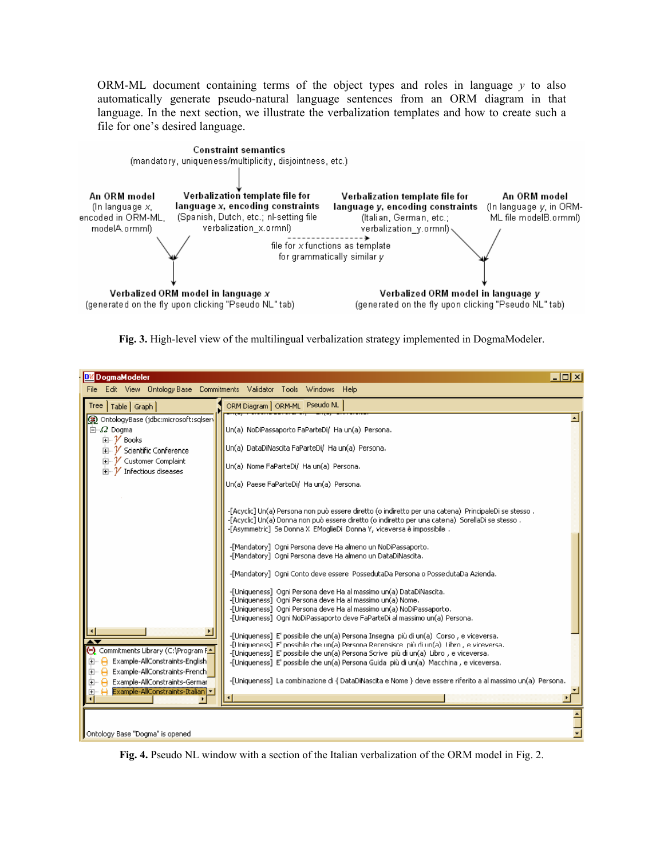ORM-ML document containing terms of the object types and roles in language *y* to also automatically generate pseudo-natural language sentences from an ORM diagram in that language. In the next section, we illustrate the verbalization templates and how to create such a file for one's desired language.



**Fig. 3.** High-level view of the multilingual verbalization strategy implemented in DogmaModeler.

| <b>DM</b> DogmaModeler                                                                                                                                                                                                                                                                                                                                                                                                                                                                                                                                                                                                                                                                                                                                                                  | $\Box$ o $\boxtimes$ |
|-----------------------------------------------------------------------------------------------------------------------------------------------------------------------------------------------------------------------------------------------------------------------------------------------------------------------------------------------------------------------------------------------------------------------------------------------------------------------------------------------------------------------------------------------------------------------------------------------------------------------------------------------------------------------------------------------------------------------------------------------------------------------------------------|----------------------|
| File Edit View Ontology-Base Commitments Validator Tools Windows Help                                                                                                                                                                                                                                                                                                                                                                                                                                                                                                                                                                                                                                                                                                                   |                      |
| ORM Diagram   ORM-ML Pseudo NL<br>Tree   Table   Graph                                                                                                                                                                                                                                                                                                                                                                                                                                                                                                                                                                                                                                                                                                                                  |                      |
| OntologyBase (jdbc:microsoft:sqlserv<br>$\Box \Box \Omega$ Dogma<br>Un(a) NoDiPassaporto FaParteDi/ Ha un(a) Persona.<br>宜… V Books<br>Un(a) DataDiNascita FaParteDi/ Ha un(a) Persona,<br>由… V Scientific Conference<br>由… V Customer Complaint<br>Un(a) Nome FaParteDi/ Ha un(a) Persona.<br>$\mathbb{H}^n$ Infectious diseases<br>Un(a) Paese FaParteDi/ Ha un(a) Persona.                                                                                                                                                                                                                                                                                                                                                                                                           |                      |
| -[Acyclic] Un(a) Persona non può essere diretto (o indiretto per una catena) PrincipaleDi se stesso .<br>, Acyclic] Un(a) Donna non può essere diretto (o indiretto per una catena) SorellaDi se stesso-<br>-[Asymmetric] Se Donna X EMoglieDi Donna Y, viceversa è impossibile,<br>-[Mandatory] Ogni Persona deve Ha almeno un NoDiPassaporto.<br>-[Mandatory] Ogni Persona deve Ha almeno un DataDiNascita.<br>-[Mandatory] Ogni Conto deve essere PossedutaDa Persona o PossedutaDa Azienda.<br>-[Uniqueness] Ogni Persona deve Ha al massimo un(a) DataDiNascita.<br>-[Uniqueness] Ogni Persona deve Ha al massimo un(a) Nome.<br>-[Uniqueness] Ogni Persona deve Ha al massimo un(a) NoDiPassaporto.<br>-[Uniqueness] Ogni NoDiPassaporto deve FaParteDi al massimo un(a) Persona. |                      |
| -[Uniqueness] E' possibile che un(a) Persona Insegna più di un(a) Corso, e viceversa.<br>ᠽ<br>-[Hnigueness] E' possibile che un(a) Persona Recensisce, più di un(a). Libro , e viceversa.<br>(-) Commitments Library (C:\Program F_A<br>-[Uniqueness] E' possibile che un(a) Persona Scrive più di un(a) Libro, e viceversa.<br>Example-AllConstraints-English<br>80 H<br>-[Uniqueness] E' possibile che un(a) Persona Guida più di un(a) Macchina, e viceversa.<br>Example-AllConstraints-French<br>⊞∽⊟<br>-[Uniqueness] La combinazione di { DataDiNascita e Nome } deve essere riferito a al massimo un(a) Persona.<br>Example-AllConstraints-German<br>⊞… A<br><b>H</b> Example-AllConstraints-Italian <b>+</b>                                                                     |                      |
| Ontology Base "Dogma" is opened                                                                                                                                                                                                                                                                                                                                                                                                                                                                                                                                                                                                                                                                                                                                                         |                      |

**Fig. 4.** Pseudo NL window with a section of the Italian verbalization of the ORM model in Fig. 2.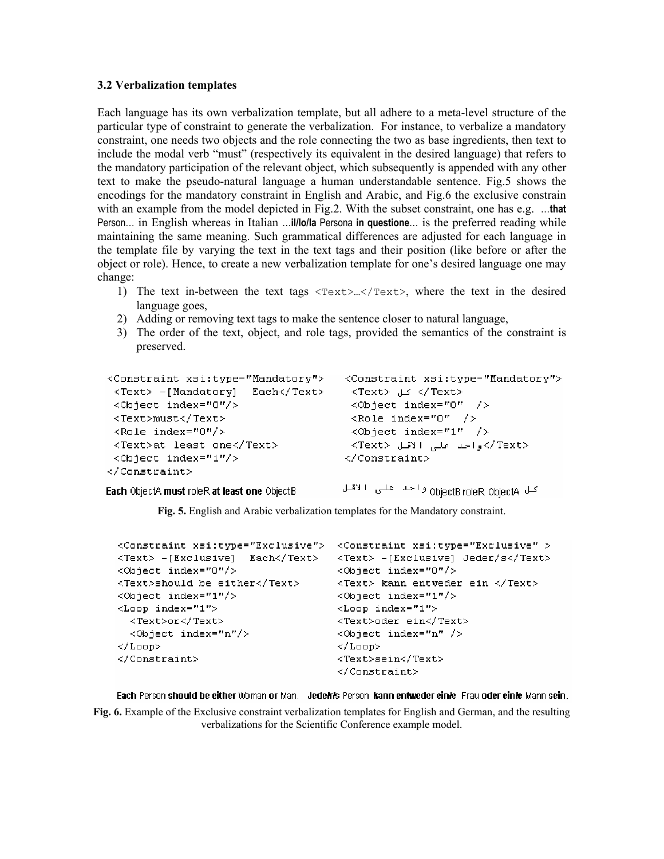#### **3.2 Verbalization templates**

Each language has its own verbalization template, but all adhere to a meta-level structure of the particular type of constraint to generate the verbalization. For instance, to verbalize a mandatory constraint, one needs two objects and the role connecting the two as base ingredients, then text to include the modal verb "must" (respectively its equivalent in the desired language) that refers to the mandatory participation of the relevant object, which subsequently is appended with any other text to make the pseudo-natural language a human understandable sentence. Fig.5 shows the encodings for the mandatory constraint in English and Arabic, and Fig.6 the exclusive constrain with an example from the model depicted in Fig.2. With the subset constraint, one has e.g. ...that Person… in English whereas in Italian …**il/lo/la** Persona **in questione**… is the preferred reading while maintaining the same meaning. Such grammatical differences are adjusted for each language in the template file by varying the text in the text tags and their position (like before or after the object or role). Hence, to create a new verbalization template for one's desired language one may change:

- 1) The text in-between the text tags <Text>…</Text>, where the text in the desired language goes,
- 2) Adding or removing text tags to make the sentence closer to natural language,
- 3) The order of the text, object, and role tags, provided the semantics of the constraint is preserved.

```
<Constraint xsi:type="Mandatory"> <Constraint xsi:type="Mandatory">
 <Text> -[Mandatory] Each</Text>
                                    <Text> کل <Text>
 <Object index="0"/>
                                      <Object index="0" />
 <Text>must</Text>
                                      \langleRole index="0" />
                                     \langleObject index="1" />
 \langleRole index="0"/>
 <Text>at least one</Text>
                                     ≺Text> />واحد على الاقل <Text>
 <Object index="1"/>
                                     \langle/Constraint>
</Constraint>
```
Each ObjectA must roleR at least one ObjectB

كل ObjectBroleR ObjectA واحمد على الاقال

**Fig. 5.** English and Arabic verbalization templates for the Mandatory constraint.

```
<Constraint xsi:type="Exclusive"> <Constraint xsi:type="Exclusive" >
<Text> -[Exclusive] Each</Text>
                                    <Text> -[Exclusive] Jeder/s</Text>
<Object index="0"/>
                                    <Object index="0"/>
<Text>should be either</Text>
                                    <Text> kann entweder ein </Text>
<Object index="1"/>
                                    <Object index="1"/>
<Loop index="1">
                                    <Loop index="1">
 <Text>or</Text>
                                    <Text>oder ein</Text>
  <Object index="n"/>
                                    <Object index="n" />
\langle/Loop\rangle\langle/Loop\rangle</Constraint>
                                    <Text>sein</Text>
                                    </Constraint>
```
Each Person should be either Woman or Man. Jedelris Person kann entweder einie Frau oder einie Mann sein.

**Fig. 6.** Example of the Exclusive constraint verbalization templates for English and German, and the resulting verbalizations for the Scientific Conference example model.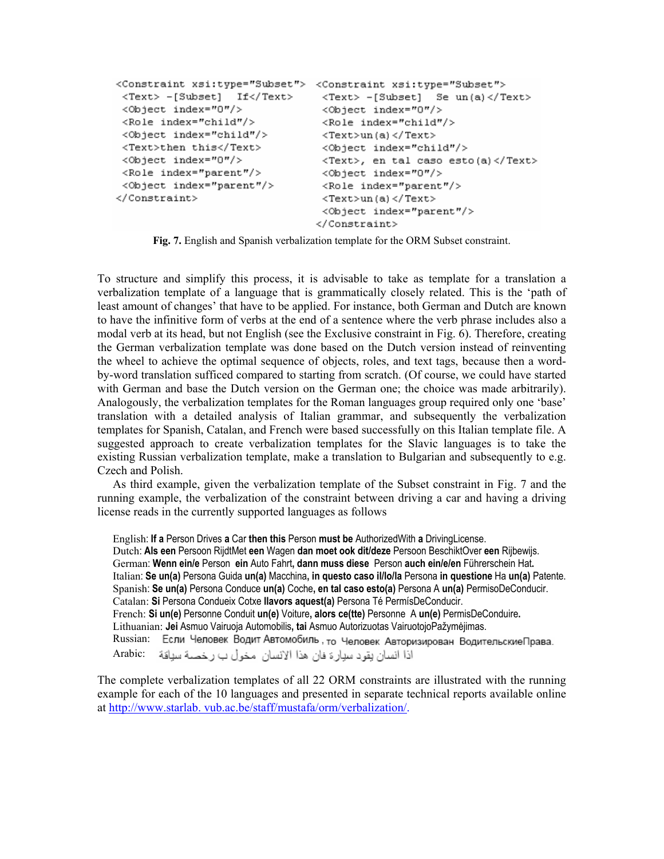```
<Constraint xsi:type="Subset"> <Constraint xsi:type="Subset">
<Text> -[Subset] If</Text>
                                 <Text> -[Subset] Se un(a)</Text>
<Object index="0"/>
                                 <Object index="0"/>
<Role index="child"/>
                                 <Role index="child"/>
<Object index="child"/>
                                <Text>un(a)</Text>
<Text>then this</Text>
                                 <Object index="child"/>
<Object index="0"/>
                                 <Text>, en tal caso esto (a) </Text>
<Role index="parent"/>
                                <Object index="0"/>
<Object index="parent"/>
                                 <Role index="parent"/>
</Constraint>
                                  \langle \text{Text}\rangleun(a) \langle \text{/Text}\rangle<Object index="parent"/>
                                 </Constraint>
```
**Fig. 7.** English and Spanish verbalization template for the ORM Subset constraint.

To structure and simplify this process, it is advisable to take as template for a translation a verbalization template of a language that is grammatically closely related. This is the 'path of least amount of changes' that have to be applied. For instance, both German and Dutch are known to have the infinitive form of verbs at the end of a sentence where the verb phrase includes also a modal verb at its head, but not English (see the Exclusive constraint in Fig. 6). Therefore, creating the German verbalization template was done based on the Dutch version instead of reinventing the wheel to achieve the optimal sequence of objects, roles, and text tags, because then a wordby-word translation sufficed compared to starting from scratch. (Of course, we could have started with German and base the Dutch version on the German one; the choice was made arbitrarily). Analogously, the verbalization templates for the Roman languages group required only one 'base' translation with a detailed analysis of Italian grammar, and subsequently the verbalization templates for Spanish, Catalan, and French were based successfully on this Italian template file. A suggested approach to create verbalization templates for the Slavic languages is to take the existing Russian verbalization template, make a translation to Bulgarian and subsequently to e.g. Czech and Polish.

As third example, given the verbalization template of the Subset constraint in Fig. 7 and the running example, the verbalization of the constraint between driving a car and having a driving license reads in the currently supported languages as follows

English: **If a** Person Drives **a** Car **then this** Person **must be** AuthorizedWith **a** DrivingLicense. Dutch: **Als een** Persoon RijdtMet **een** Wagen **dan moet ook dit/deze** Persoon BeschiktOver **een** Rijbewijs. German: **Wenn ein/e** Person **ein** Auto Fahrt**, dann muss diese** Person **auch ein/e/en** Führerschein Hat**.**  Italian: **Se un(a)** Persona Guida **un(a)** Macchina**, in questo caso il/lo/la** Persona **in questione** Ha **un(a)** Patente. Spanish: **Se un(a)** Persona Conduce **un(a)** Coche**, en tal caso esto(a)** Persona A **un(a)** PermisoDeConducir. Catalan: **Si** Persona Condueix Cotxe **llavors aquest(a)** Persona Té PermísDeConducir. French: **Si un(e)** Personne Conduit **un(e)** Voiture**, alors ce(tte)** PersonneA **un(e)** PermisDeConduire**.** Lithuanian: **Jei** Asmuo Vairuoja Automobilis**, tai** Asmuo Autorizuotas VairuotojoPažymėjimas. Russian: Если Человек Водит Автомобиль, то Человек Авторизирован Водительские Права. اذا انسان بقود سبارة فان هذا الانسان مخولْ ب رخصـه سباقة Arabic:

The complete verbalization templates of all 22 ORM constraints are illustrated with the running example for each of the 10 languages and presented in separate technical reports available online at http://www.starlab. vub.ac.be[/staff/mustafa/orm/verbalization/](http://www.starlab.vub.ac.be/stuff/mustafa/orm/verbalization/).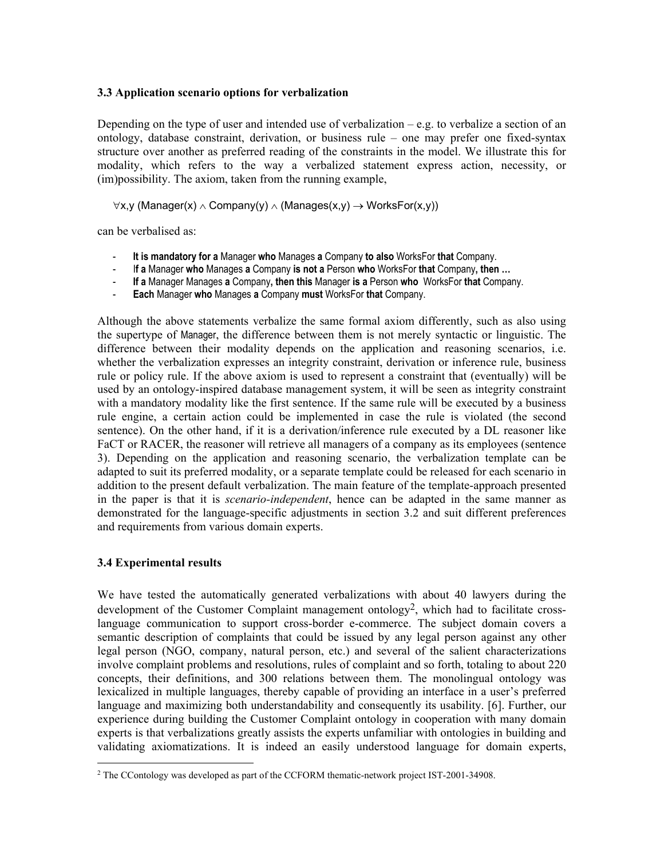# **3.3 Application scenario options for verbalization**

Depending on the type of user and intended use of verbalization  $-e.g.$  to verbalize a section of an ontology, database constraint, derivation, or business rule – one may prefer one fixed-syntax structure over another as preferred reading of the constraints in the model. We illustrate this for modality, which refers to the way a verbalized statement express action, necessity, or (im)possibility. The axiom, taken from the running example,

 $\forall x,y$  (Manager(x)  $\land$  Company(y)  $\land$  (Manages(x,y)  $\rightarrow$  WorksFor(x,y))

can be verbalised as:

- **It is mandatory for a** Manager **who** Manages **a** Company **to also** WorksFor **that** Company.
- I**f a** Manager **who** Manages **a** Company **is not a** Person **who** WorksFor **that** Company**, then …**
- **If a** Manager Manages **a** Company**, then this** Manager **is a** Person **who** WorksFor **that** Company.
- **Each** Manager **who** Manages **a** Company **must** WorksFor **that** Company.

Although the above statements verbalize the same formal axiom differently, such as also using the supertype of Manager, the difference between them is not merely syntactic or linguistic. The difference between their modality depends on the application and reasoning scenarios, i.e. whether the verbalization expresses an integrity constraint, derivation or inference rule, business rule or policy rule. If the above axiom is used to represent a constraint that (eventually) will be used by an ontology-inspired database management system, it will be seen as integrity constraint with a mandatory modality like the first sentence. If the same rule will be executed by a business rule engine, a certain action could be implemented in case the rule is violated (the second sentence). On the other hand, if it is a derivation/inference rule executed by a DL reasoner like FaCT or RACER, the reasoner will retrieve all managers of a company as its employees (sentence 3). Depending on the application and reasoning scenario, the verbalization template can be adapted to suit its preferred modality, or a separate template could be released for each scenario in addition to the present default verbalization. The main feature of the template-approach presented in the paper is that it is *scenario-independent*, hence can be adapted in the same manner as demonstrated for the language-specific adjustments in section 3.2 and suit different preferences and requirements from various domain experts.

## **3.4 Experimental results**

 $\overline{a}$ 

We have tested the automatically generated verbalizations with about 40 lawyers during the development of the Customer Complaint management ontology<sup>2</sup>, which had to facilitate crosslanguage communication to support cross-border e-commerce. The subject domain covers a semantic description of complaints that could be issued by any legal person against any other legal person (NGO, company, natural person, etc.) and several of the salient characterizations involve complaint problems and resolutions, rules of complaint and so forth, totaling to about 220 concepts, their definitions, and 300 relations between them. The monolingual ontology was lexicalized in multiple languages, thereby capable of providing an interface in a user's preferred language and maximizing both understandability and consequently its usability. [6]. Further, our experience during building the Customer Complaint ontology in cooperation with many domain experts is that verbalizations greatly assists the experts unfamiliar with ontologies in building and validating axiomatizations. It is indeed an easily understood language for domain experts,

<span id="page-7-0"></span><sup>&</sup>lt;sup>2</sup> The CContology was developed as part of the CCFORM thematic-network project IST-2001-34908.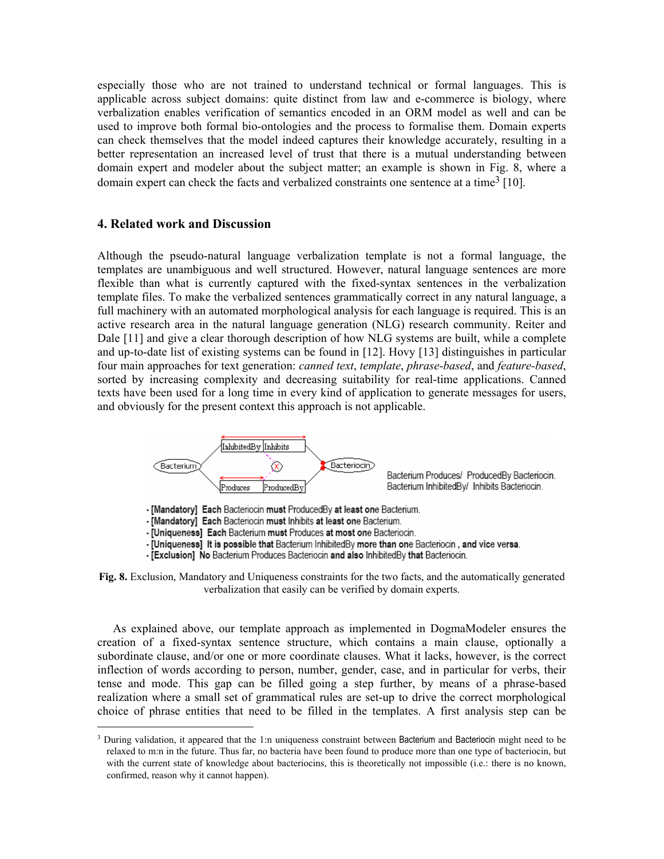especially those who are not trained to understand technical or formal languages. This is applicable across subject domains: quite distinct from law and e-commerce is biology, where verbalization enables verification of semantics encoded in an ORM model as well and can be used to improve both formal bio-ontologies and the process to formalise them. Domain experts can check themselves that the model indeed captures their knowledge accurately, resulting in a better representation an increased level of trust that there is a mutual understanding between domain expert and modeler about the subject matter; an example is shown in Fig. 8, where a domain expert can check the facts and verbalized constraints one sentence at a time<sup>3</sup> [10].

## **4. Related work and Discussion**

 $\overline{a}$ 

Although the pseudo-natural language verbalization template is not a formal language, the templates are unambiguous and well structured. However, natural language sentences are more flexible than what is currently captured with the fixed-syntax sentences in the verbalization template files. To make the verbalized sentences grammatically correct in any natural language, a full machinery with an automated morphological analysis for each language is required. This is an active research area in the natural language generation (NLG) research community. Reiter and Dale [11] and give a clear thorough description of how NLG systems are built, while a complete and up-to-date list of existing systems can be found in [12]. Hovy [13] distinguishes in particular four main approaches for text generation: *canned text*, *template*, *phrase-based*, and *feature-based*, sorted by increasing complexity and decreasing suitability for real-time applications. Canned texts have been used for a long time in every kind of application to generate messages for users, and obviously for the present context this approach is not applicable.



Bacterium Produces/ ProducedBy Bacteriocin. Bacterium InhibitedBy/ Inhibits Bacteriocin.

- [Mandatory] Each Bacteriocin must ProducedBy at least one Bacterium.

- [Mandatory] Each Bacteriocin must Inhibits at least one Bacterium.

- [Uniqueness] Each Bacterium must Produces at most one Bacteriocin.

- [Uniqueness] It is possible that Bacterium InhibitedBy more than one Bacteriocin, and vice versa.

- [Exclusion] No Bacterium Produces Bacteriocin and also InhibitedBy that Bacteriocin.



As explained above, our template approach as implemented in DogmaModeler ensures the creation of a fixed-syntax sentence structure, which contains a main clause, optionally a subordinate clause, and/or one or more coordinate clauses. What it lacks, however, is the correct inflection of words according to person, number, gender, case, and in particular for verbs, their tense and mode. This gap can be filled going a step further, by means of a phrase-based realization where a small set of grammatical rules are set-up to drive the correct morphological choice of phrase entities that need to be filled in the templates. A first analysis step can be

<span id="page-8-0"></span><sup>&</sup>lt;sup>3</sup> During validation, it appeared that the 1:n uniqueness constraint between Bacterium and Bacteriocin might need to be relaxed to m:n in the future. Thus far, no bacteria have been found to produce more than one type of bacteriocin, but with the current state of knowledge about bacteriocins, this is theoretically not impossible (i.e.: there is no known, confirmed, reason why it cannot happen).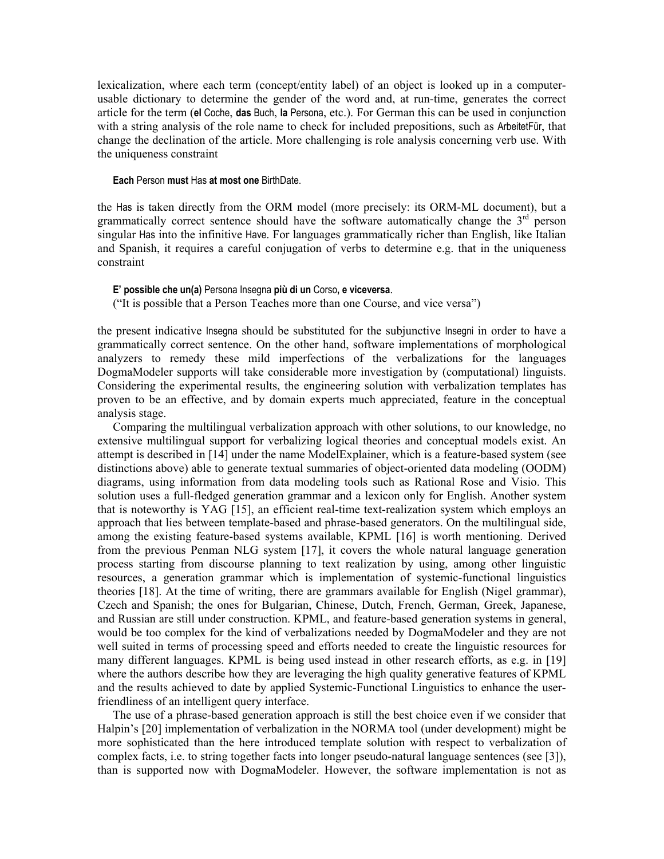lexicalization, where each term (concept/entity label) of an object is looked up in a computerusable dictionary to determine the gender of the word and, at run-time, generates the correct article for the term (**el** Coche, **das** Buch, **la** Persona, etc.). For German this can be used in conjunction with a string analysis of the role name to check for included prepositions, such as ArbeitetFür, that change the declination of the article. More challenging is role analysis concerning verb use. With the uniqueness constraint

#### **Each** Person **must** Has **at most one** BirthDate.

the Has is taken directly from the ORM model (more precisely: its ORM-ML document), but a grammatically correct sentence should have the software automatically change the  $3<sup>rd</sup>$  person singular Has into the infinitive Have. For languages grammatically richer than English, like Italian and Spanish, it requires a careful conjugation of verbs to determine e.g. that in the uniqueness constraint

#### **E' possible che un(a)** Persona Insegna **più di un** Corso**, e viceversa**.

("It is possible that a Person Teaches more than one Course, and vice versa")

the present indicative Insegna should be substituted for the subjunctive Insegni in order to have a grammatically correct sentence. On the other hand, software implementations of morphological analyzers to remedy these mild imperfections of the verbalizations for the languages DogmaModeler supports will take considerable more investigation by (computational) linguists. Considering the experimental results, the engineering solution with verbalization templates has proven to be an effective, and by domain experts much appreciated, feature in the conceptual analysis stage.

Comparing the multilingual verbalization approach with other solutions, to our knowledge, no extensive multilingual support for verbalizing logical theories and conceptual models exist. An attempt is described in [14] under the name ModelExplainer, which is a feature-based system (see distinctions above) able to generate textual summaries of object-oriented data modeling (OODM) diagrams, using information from data modeling tools such as Rational Rose and Visio. This solution uses a full-fledged generation grammar and a lexicon only for English. Another system that is noteworthy is YAG [15], an efficient real-time text-realization system which employs an approach that lies between template-based and phrase-based generators. On the multilingual side, among the existing feature-based systems available, KPML [16] is worth mentioning. Derived from the previous Penman NLG system [17], it covers the whole natural language generation process starting from discourse planning to text realization by using, among other linguistic resources, a generation grammar which is implementation of systemic-functional linguistics theories [18]. At the time of writing, there are grammars available for English (Nigel grammar), Czech and Spanish; the ones for Bulgarian, Chinese, Dutch, French, German, Greek, Japanese, and Russian are still under construction. KPML, and feature-based generation systems in general, would be too complex for the kind of verbalizations needed by DogmaModeler and they are not well suited in terms of processing speed and efforts needed to create the linguistic resources for many different languages. KPML is being used instead in other research efforts, as e.g. in [19] where the authors describe how they are leveraging the high quality generative features of KPML and the results achieved to date by applied Systemic-Functional Linguistics to enhance the userfriendliness of an intelligent query interface.

The use of a phrase-based generation approach is still the best choice even if we consider that Halpin's [20] implementation of verbalization in the NORMA tool (under development) might be more sophisticated than the here introduced template solution with respect to verbalization of complex facts, i.e. to string together facts into longer pseudo-natural language sentences (see [3]), than is supported now with DogmaModeler. However, the software implementation is not as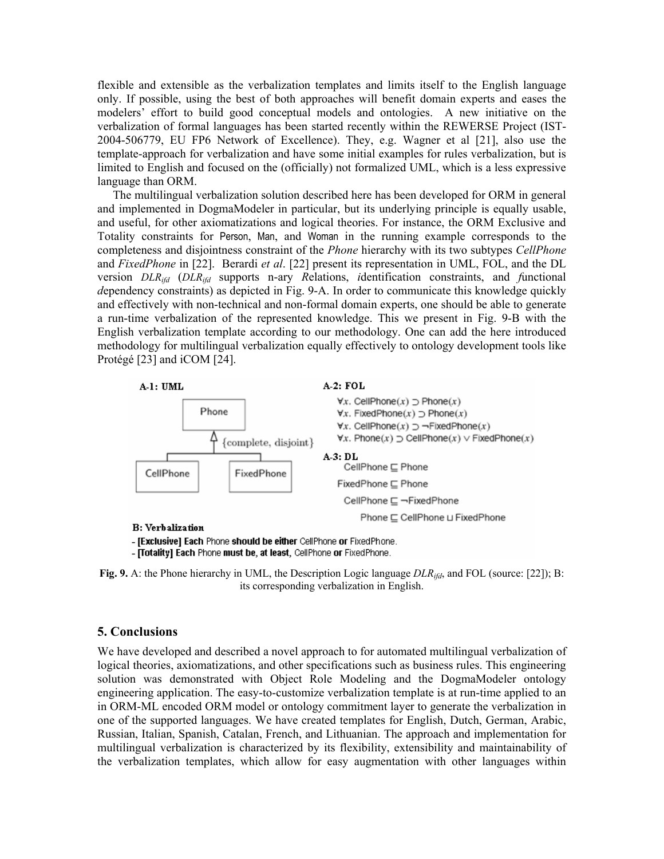flexible and extensible as the verbalization templates and limits itself to the English language only. If possible, using the best of both approaches will benefit domain experts and eases the modelers' effort to build good conceptual models and ontologies. A new initiative on the verbalization of formal languages has been started recently within the REWERSE Project (IST-2004-506779, EU FP6 Network of Excellence). They, e.g. Wagner et al [21], also use the template-approach for verbalization and have some initial examples for rules verbalization, but is limited to English and focused on the (officially) not formalized UML, which is a less expressive language than ORM.

The multilingual verbalization solution described here has been developed for ORM in general and implemented in DogmaModeler in particular, but its underlying principle is equally usable, and useful, for other axiomatizations and logical theories. For instance, the ORM Exclusive and Totality constraints for Person, Man, and Woman in the running example corresponds to the completeness and disjointness constraint of the *Phone* hierarchy with its two subtypes *CellPhone* and *FixedPhone* in [22]. Berardi *et al*. [22] present its representation in UML, FOL, and the DL version *DLRifd* (*DLRifd* supports n-ary *R*elations, *i*dentification constraints, and *f*unctional *d*ependency constraints) as depicted in Fig. 9-A. In order to communicate this knowledge quickly and effectively with non-technical and non-formal domain experts, one should be able to generate a run-time verbalization of the represented knowledge. This we present in Fig. 9-B with the English verbalization template according to our methodology. One can add the here introduced methodology for multilingual verbalization equally effectively to ontology development tools like Protégé [23] and iCOM [24].



#### **B:** Verbalization

- [Exclusive] Each Phone should be either CellPhone or FixedPhone.

- [Totality] Each Phone must be, at least, CellPhone or FixedPhone.

**Fig. 9.** A: the Phone hierarchy in UML, the Description Logic language *DLRifd*, and FOL (source: [22]); B: its corresponding verbalization in English.

## **5. Conclusions**

We have developed and described a novel approach to for automated multilingual verbalization of logical theories, axiomatizations, and other specifications such as business rules. This engineering solution was demonstrated with Object Role Modeling and the DogmaModeler ontology engineering application. The easy-to-customize verbalization template is at run-time applied to an in ORM-ML encoded ORM model or ontology commitment layer to generate the verbalization in one of the supported languages. We have created templates for English, Dutch, German, Arabic, Russian, Italian, Spanish, Catalan, French, and Lithuanian. The approach and implementation for multilingual verbalization is characterized by its flexibility, extensibility and maintainability of the verbalization templates, which allow for easy augmentation with other languages within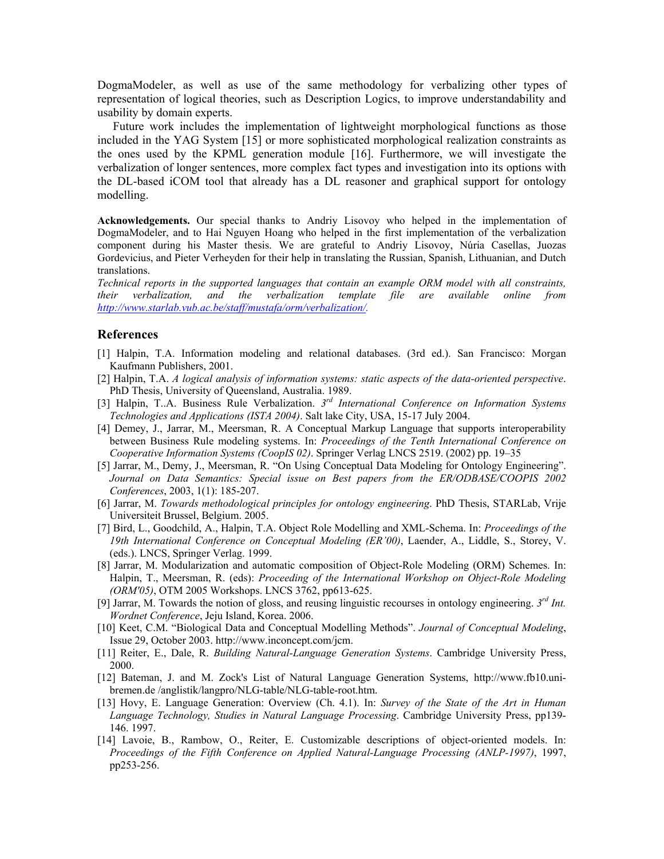DogmaModeler, as well as use of the same methodology for verbalizing other types of representation of logical theories, such as Description Logics, to improve understandability and usability by domain experts.

Future work includes the implementation of lightweight morphological functions as those included in the YAG System [15] or more sophisticated morphological realization constraints as the ones used by the KPML generation module [16]. Furthermore, we will investigate the verbalization of longer sentences, more complex fact types and investigation into its options with the DL-based iCOM tool that already has a DL reasoner and graphical support for ontology modelling.

**Acknowledgements.** Our special thanks to Andriy Lisovoy who helped in the implementation of DogmaModeler, and to Hai Nguyen Hoang who helped in the first implementation of the verbalization component during his Master thesis. We are grateful to Andriy Lisovoy, Núria Casellas, Juozas Gordevicius, and Pieter Verheyden for their help in translating the Russian, Spanish, Lithuanian, and Dutch translations.

*Technical reports in the supported languages that contain an example ORM model with all constraints, their verbalization, and the verbalization template file are available online from <http://www.starlab.vub.ac.be/>[staff/mustafa/orm/verbalization/.](http://www.starlab.vub.ac.be/stuff/mustafa/orm/verbalization/)*

#### **References**

- [1] Halpin, T.A. Information modeling and relational databases. (3rd ed.). San Francisco: Morgan Kaufmann Publishers, 2001.
- [2] Halpin, T.A. *A logical analysis of information systems: static aspects of the data-oriented perspective*. PhD Thesis, University of Queensland, Australia. 1989.
- [3] Halpin, T..A. Business Rule Verbalization. *3rd International Conference on Information Systems Technologies and Applications (ISTA 2004)*. Salt lake City, USA, 15-17 July 2004.
- [4] Demey, J., Jarrar, M., Meersman, R. A Conceptual Markup Language that supports interoperability between Business Rule modeling systems. In: *Proceedings of the Tenth International Conference on Cooperative Information Systems (CoopIS 02)*. Springer Verlag LNCS 2519. (2002) pp. 19–35
- [5] Jarrar, M., Demy, J., Meersman, R. "On Using Conceptual Data Modeling for Ontology Engineering". *Journal on Data Semantics: Special issue on Best papers from the ER/ODBASE/COOPIS 2002 Conferences*, 2003, 1(1): 185-207.
- [6] Jarrar, M. *Towards methodological principles for ontology engineering*. PhD Thesis, STARLab, Vrije Universiteit Brussel, Belgium. 2005.
- [7] Bird, L., Goodchild, A., Halpin, T.A. Object Role Modelling and XML-Schema. In: *Proceedings of the 19th International Conference on Conceptual Modeling (ER'00)*, Laender, A., Liddle, S., Storey, V. (eds.). LNCS, Springer Verlag. 1999.
- [8] Jarrar, M. Modularization and automatic composition of Object-Role Modeling (ORM) Schemes. In: Halpin, T., Meersman, R. (eds): *Proceeding of the International Workshop on Object-Role Modeling (ORM'05)*, OTM 2005 Workshops. LNCS 3762, pp613-625.
- [9] Jarrar, M. Towards the notion of gloss, and reusing linguistic recourses in ontology engineering. *3rd Int. Wordnet Conference*, Jeju Island, Korea. 2006.
- [10] Keet, C.M. "Biological Data and Conceptual Modelling Methods". *Journal of Conceptual Modeling*, Issue 29, October 2003. <http://www.inconcept.com/jcm>.
- [11] Reiter, E., Dale, R. *Building Natural-Language Generation Systems*. Cambridge University Press, 2000.
- [12] Bateman, J. and M. Zock's List of Natural Language Generation Systems, http://www.fb10.unibremen.de /anglistik/langpro/NLG-table/NLG-table-root.htm.
- [13] Hovy, E. Language Generation: Overview (Ch. 4.1). In: *Survey of the State of the Art in Human Language Technology, Studies in Natural Language Processing*. Cambridge University Press, pp139- 146. 1997.
- [14] Lavoie, B., Rambow, O., Reiter, E. Customizable descriptions of object-oriented models. In: *Proceedings of the Fifth Conference on Applied Natural-Language Processing (ANLP-1997)*, 1997, pp253-256.